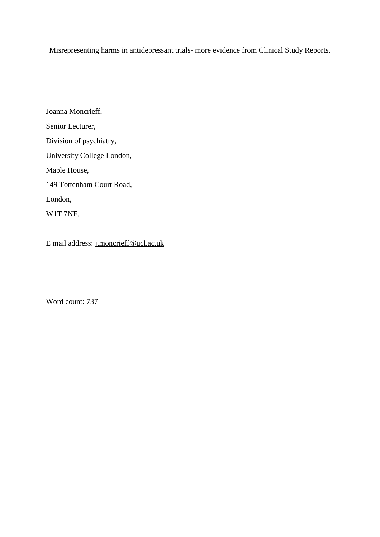Misrepresenting harms in antidepressant trials- more evidence from Clinical Study Reports.

Joanna Moncrieff, Senior Lecturer, Division of psychiatry, University College London, Maple House, 149 Tottenham Court Road, London, W1T 7NF.

E mail address: [j.moncrieff@ucl.ac.uk](mailto:j.moncrieff@ucl.ac.uk)

Word count: 737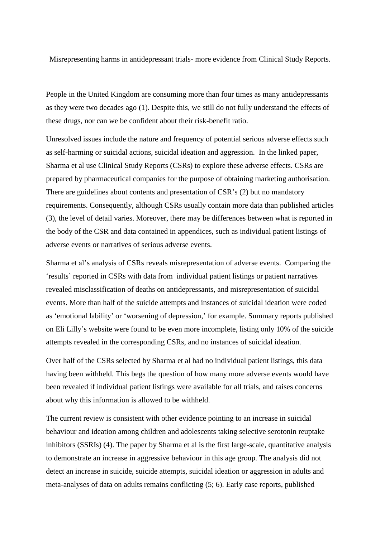Misrepresenting harms in antidepressant trials- more evidence from Clinical Study Reports.

People in the United Kingdom are consuming more than four times as many antidepressants as they were two decades ago (1). Despite this, we still do not fully understand the effects of these drugs, nor can we be confident about their risk-benefit ratio.

Unresolved issues include the nature and frequency of potential serious adverse effects such as self-harming or suicidal actions, suicidal ideation and aggression. In the linked paper, Sharma et al use Clinical Study Reports (CSRs) to explore these adverse effects. CSRs are prepared by pharmaceutical companies for the purpose of obtaining marketing authorisation. There are guidelines about contents and presentation of CSR's (2) but no mandatory requirements. Consequently, although CSRs usually contain more data than published articles (3), the level of detail varies. Moreover, there may be differences between what is reported in the body of the CSR and data contained in appendices, such as individual patient listings of adverse events or narratives of serious adverse events.

Sharma et al's analysis of CSRs reveals misrepresentation of adverse events. Comparing the 'results' reported in CSRs with data from individual patient listings or patient narratives revealed misclassification of deaths on antidepressants, and misrepresentation of suicidal events. More than half of the suicide attempts and instances of suicidal ideation were coded as 'emotional lability' or 'worsening of depression,' for example. Summary reports published on Eli Lilly's website were found to be even more incomplete, listing only 10% of the suicide attempts revealed in the corresponding CSRs, and no instances of suicidal ideation.

Over half of the CSRs selected by Sharma et al had no individual patient listings, this data having been withheld. This begs the question of how many more adverse events would have been revealed if individual patient listings were available for all trials, and raises concerns about why this information is allowed to be withheld.

The current review is consistent with other evidence pointing to an increase in suicidal behaviour and ideation among children and adolescents taking selective serotonin reuptake inhibitors (SSRIs) (4). The paper by Sharma et al is the first large-scale, quantitative analysis to demonstrate an increase in aggressive behaviour in this age group. The analysis did not detect an increase in suicide, suicide attempts, suicidal ideation or aggression in adults and meta-analyses of data on adults remains conflicting (5; 6). Early case reports, published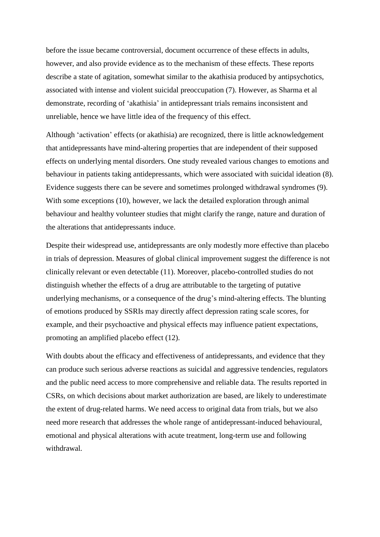before the issue became controversial, document occurrence of these effects in adults, however, and also provide evidence as to the mechanism of these effects. These reports describe a state of agitation, somewhat similar to the akathisia produced by antipsychotics, associated with intense and violent suicidal preoccupation (7). However, as Sharma et al demonstrate, recording of 'akathisia' in antidepressant trials remains inconsistent and unreliable, hence we have little idea of the frequency of this effect.

Although 'activation' effects (or akathisia) are recognized, there is little acknowledgement that antidepressants have mind-altering properties that are independent of their supposed effects on underlying mental disorders. One study revealed various changes to emotions and behaviour in patients taking antidepressants, which were associated with suicidal ideation (8). Evidence suggests there can be severe and sometimes prolonged withdrawal syndromes (9). With some exceptions (10), however, we lack the detailed exploration through animal behaviour and healthy volunteer studies that might clarify the range, nature and duration of the alterations that antidepressants induce.

Despite their widespread use, antidepressants are only modestly more effective than placebo in trials of depression. Measures of global clinical improvement suggest the difference is not clinically relevant or even detectable (11). Moreover, placebo-controlled studies do not distinguish whether the effects of a drug are attributable to the targeting of putative underlying mechanisms, or a consequence of the drug's mind-altering effects. The blunting of emotions produced by SSRIs may directly affect depression rating scale scores, for example, and their psychoactive and physical effects may influence patient expectations, promoting an amplified placebo effect (12).

With doubts about the efficacy and effectiveness of antidepressants, and evidence that they can produce such serious adverse reactions as suicidal and aggressive tendencies, regulators and the public need access to more comprehensive and reliable data. The results reported in CSRs, on which decisions about market authorization are based, are likely to underestimate the extent of drug-related harms. We need access to original data from trials, but we also need more research that addresses the whole range of antidepressant-induced behavioural, emotional and physical alterations with acute treatment, long-term use and following withdrawal.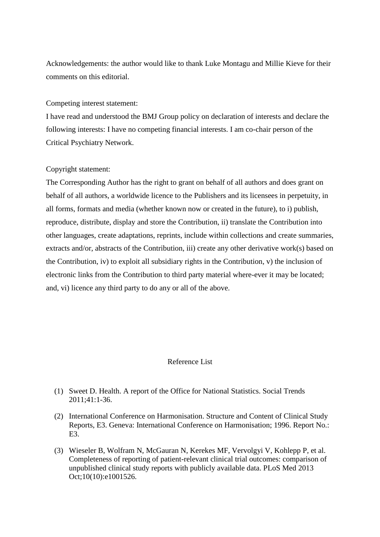Acknowledgements: the author would like to thank Luke Montagu and Millie Kieve for their comments on this editorial.

## Competing interest statement:

I have read and understood the BMJ Group policy on declaration of interests and declare the following interests: I have no competing financial interests. I am co-chair person of the Critical Psychiatry Network.

## Copyright statement:

The Corresponding Author has the right to grant on behalf of all authors and does grant on behalf of all authors, a worldwide licence to the Publishers and its licensees in perpetuity, in all forms, formats and media (whether known now or created in the future), to i) publish, reproduce, distribute, display and store the Contribution, ii) translate the Contribution into other languages, create adaptations, reprints, include within collections and create summaries, extracts and/or, abstracts of the Contribution, iii) create any other derivative work(s) based on the Contribution, iv) to exploit all subsidiary rights in the Contribution, v) the inclusion of electronic links from the Contribution to third party material where-ever it may be located; and, vi) licence any third party to do any or all of the above.

## Reference List

- (1) Sweet D. Health. A report of the Office for National Statistics. Social Trends 2011;41:1-36.
- (2) International Conference on Harmonisation. Structure and Content of Clinical Study Reports, E3. Geneva: International Conference on Harmonisation; 1996. Report No.: E3.
- (3) Wieseler B, Wolfram N, McGauran N, Kerekes MF, Vervolgyi V, Kohlepp P, et al. Completeness of reporting of patient-relevant clinical trial outcomes: comparison of unpublished clinical study reports with publicly available data. PLoS Med 2013 Oct;10(10):e1001526.